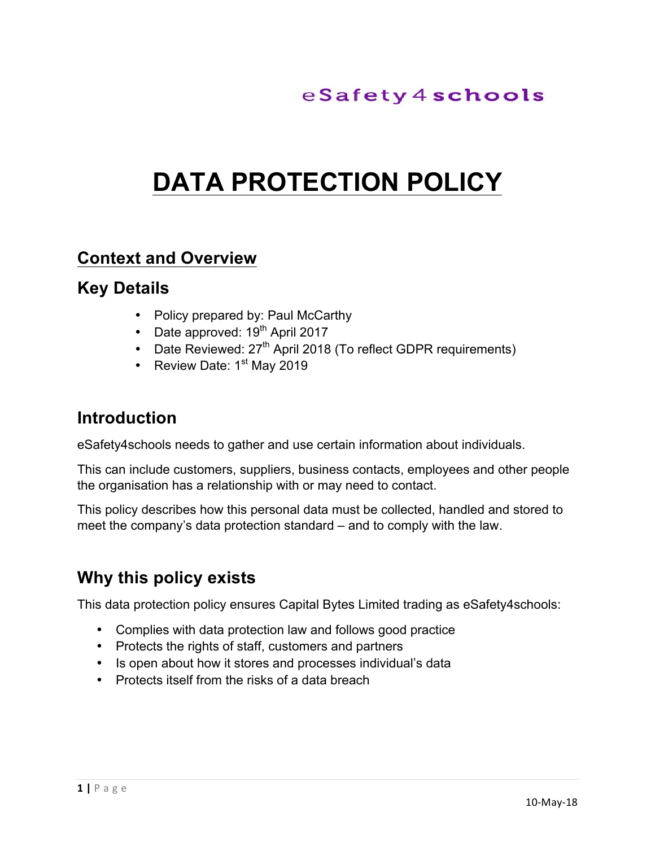# **DATA PROTECTION POLICY**

#### **Context and Overview**

#### **Key Details**

- Policy prepared by: Paul McCarthy
- Date approved:  $19<sup>th</sup>$  April 2017
- Date Reviewed:  $27<sup>th</sup>$  April 2018 (To reflect GDPR requirements)
- Review Date:  $1<sup>st</sup>$  May 2019

#### **Introduction**

eSafety4schools needs to gather and use certain information about individuals.

This can include customers, suppliers, business contacts, employees and other people the organisation has a relationship with or may need to contact.

This policy describes how this personal data must be collected, handled and stored to meet the company's data protection standard – and to comply with the law.

### **Why this policy exists**

This data protection policy ensures Capital Bytes Limited trading as eSafety4schools:

- Complies with data protection law and follows good practice
- Protects the rights of staff, customers and partners
- Is open about how it stores and processes individual's data
- Protects itself from the risks of a data breach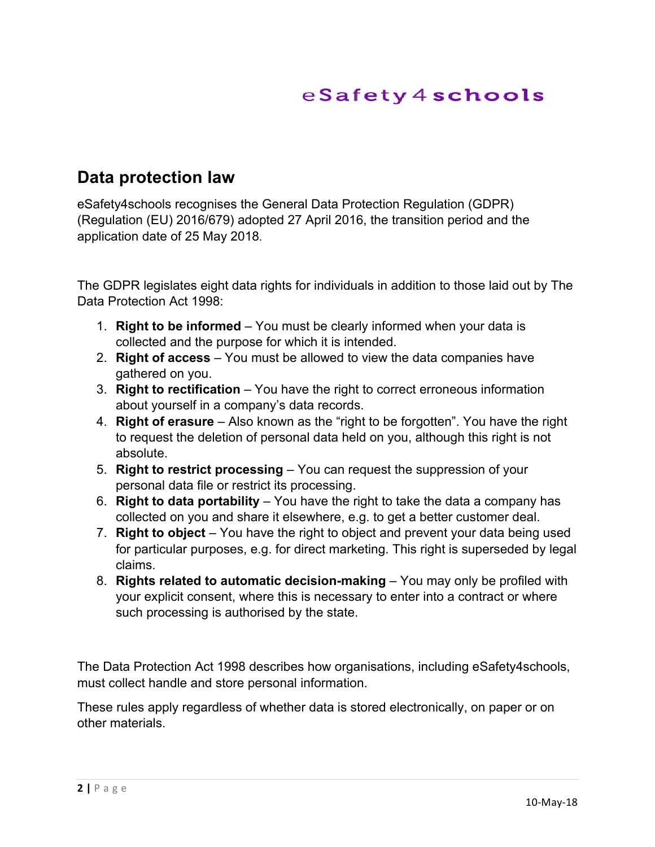#### **Data protection law**

eSafety4schools recognises the General Data Protection Regulation (GDPR) (Regulation (EU) 2016/679) adopted 27 April 2016, the transition period and the application date of 25 May 2018.

The GDPR legislates eight data rights for individuals in addition to those laid out by The Data Protection Act 1998:

- 1. **Right to be informed** You must be clearly informed when your data is collected and the purpose for which it is intended.
- 2. **Right of access** You must be allowed to view the data companies have gathered on you.
- 3. **Right to rectification** You have the right to correct erroneous information about yourself in a company's data records.
- 4. **Right of erasure** Also known as the "right to be forgotten". You have the right to request the deletion of personal data held on you, although this right is not absolute.
- 5. **Right to restrict processing** You can request the suppression of your personal data file or restrict its processing.
- 6. **Right to data portability** You have the right to take the data a company has collected on you and share it elsewhere, e.g. to get a better customer deal.
- 7. **Right to object** You have the right to object and prevent your data being used for particular purposes, e.g. for direct marketing. This right is superseded by legal claims.
- 8. **Rights related to automatic decision-making** You may only be profiled with your explicit consent, where this is necessary to enter into a contract or where such processing is authorised by the state.

The Data Protection Act 1998 describes how organisations, including eSafety4schools, must collect handle and store personal information.

These rules apply regardless of whether data is stored electronically, on paper or on other materials.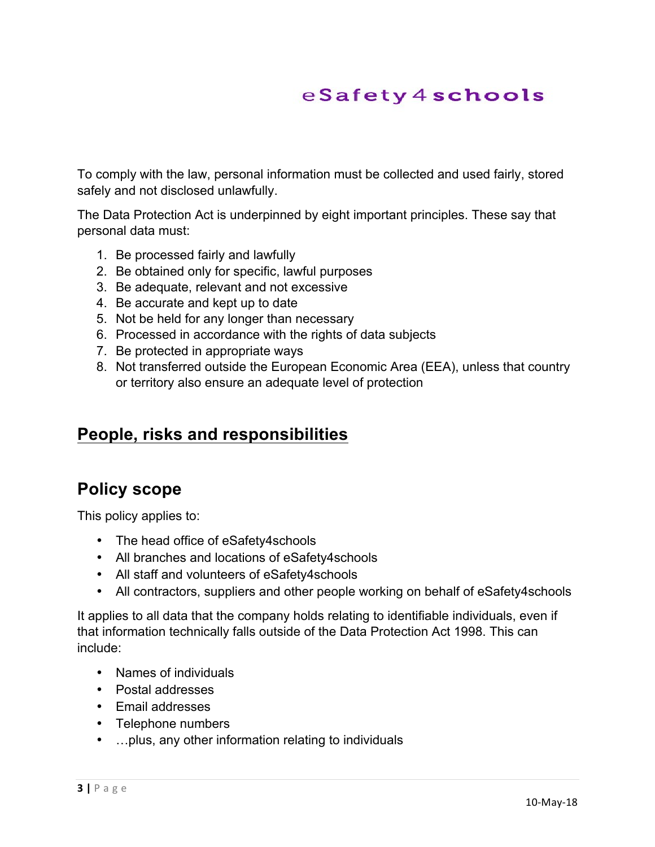To comply with the law, personal information must be collected and used fairly, stored safely and not disclosed unlawfully.

The Data Protection Act is underpinned by eight important principles. These say that personal data must:

- 1. Be processed fairly and lawfully
- 2. Be obtained only for specific, lawful purposes
- 3. Be adequate, relevant and not excessive
- 4. Be accurate and kept up to date
- 5. Not be held for any longer than necessary
- 6. Processed in accordance with the rights of data subjects
- 7. Be protected in appropriate ways
- 8. Not transferred outside the European Economic Area (EEA), unless that country or territory also ensure an adequate level of protection

#### **People, risks and responsibilities**

### **Policy scope**

This policy applies to:

- The head office of eSafety4schools
- All branches and locations of eSafety4schools
- All staff and volunteers of eSafety4schools
- All contractors, suppliers and other people working on behalf of eSafety4schools

It applies to all data that the company holds relating to identifiable individuals, even if that information technically falls outside of the Data Protection Act 1998. This can include:

- Names of individuals
- Postal addresses
- Email addresses
- Telephone numbers
- …plus, any other information relating to individuals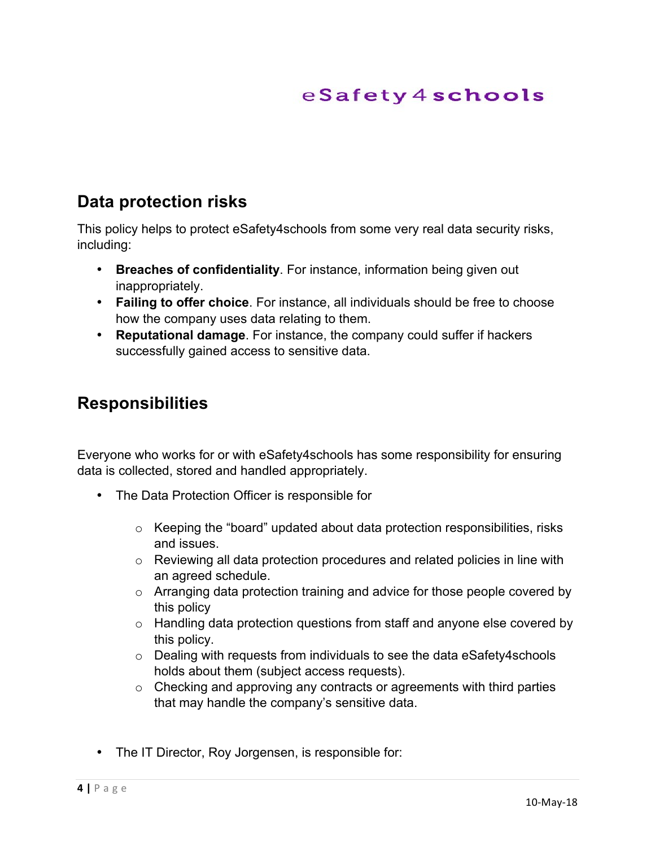#### **Data protection risks**

This policy helps to protect eSafety4schools from some very real data security risks, including:

- **Breaches of confidentiality**. For instance, information being given out inappropriately.
- **Failing to offer choice**. For instance, all individuals should be free to choose how the company uses data relating to them.
- **Reputational damage**. For instance, the company could suffer if hackers successfully gained access to sensitive data.

#### **Responsibilities**

Everyone who works for or with eSafety4schools has some responsibility for ensuring data is collected, stored and handled appropriately.

- The Data Protection Officer is responsible for
	- $\circ$  Keeping the "board" updated about data protection responsibilities, risks and issues.
	- $\circ$  Reviewing all data protection procedures and related policies in line with an agreed schedule.
	- o Arranging data protection training and advice for those people covered by this policy
	- o Handling data protection questions from staff and anyone else covered by this policy.
	- $\circ$  Dealing with requests from individuals to see the data eSafety4schools holds about them (subject access requests).
	- $\circ$  Checking and approving any contracts or agreements with third parties that may handle the company's sensitive data.
- The IT Director, Roy Jorgensen, is responsible for: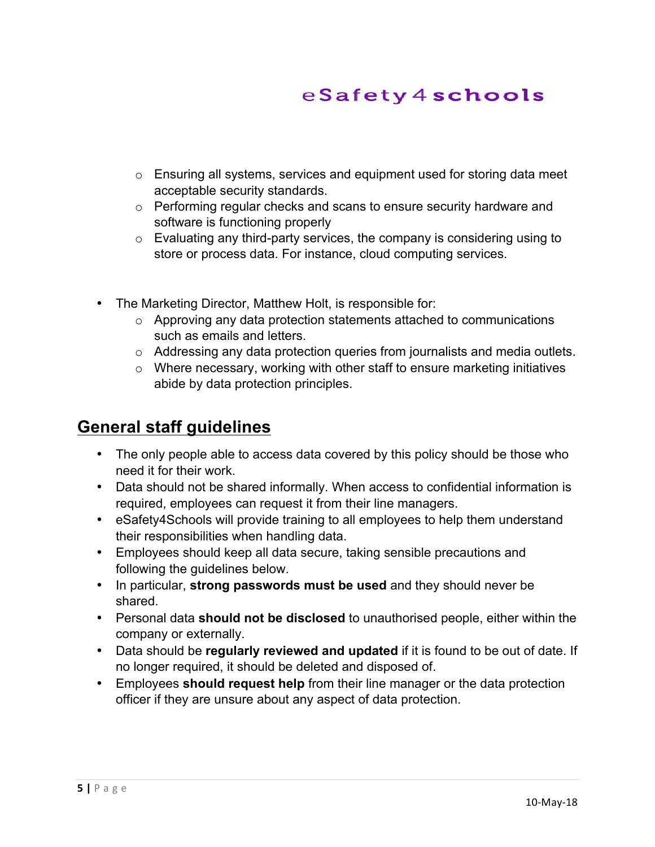- o Ensuring all systems, services and equipment used for storing data meet acceptable security standards.
- o Performing regular checks and scans to ensure security hardware and software is functioning properly
- o Evaluating any third-party services, the company is considering using to store or process data. For instance, cloud computing services.
- The Marketing Director, Matthew Holt, is responsible for:
	- o Approving any data protection statements attached to communications such as emails and letters.
	- $\circ$  Addressing any data protection queries from journalists and media outlets.
	- $\circ$  Where necessary, working with other staff to ensure marketing initiatives abide by data protection principles.

### **General staff guidelines**

- The only people able to access data covered by this policy should be those who need it for their work.
- Data should not be shared informally. When access to confidential information is required, employees can request it from their line managers.
- eSafety4Schools will provide training to all employees to help them understand their responsibilities when handling data.
- Employees should keep all data secure, taking sensible precautions and following the guidelines below.
- In particular, **strong passwords must be used** and they should never be shared.
- Personal data **should not be disclosed** to unauthorised people, either within the company or externally.
- Data should be **regularly reviewed and updated** if it is found to be out of date. If no longer required, it should be deleted and disposed of.
- Employees **should request help** from their line manager or the data protection officer if they are unsure about any aspect of data protection.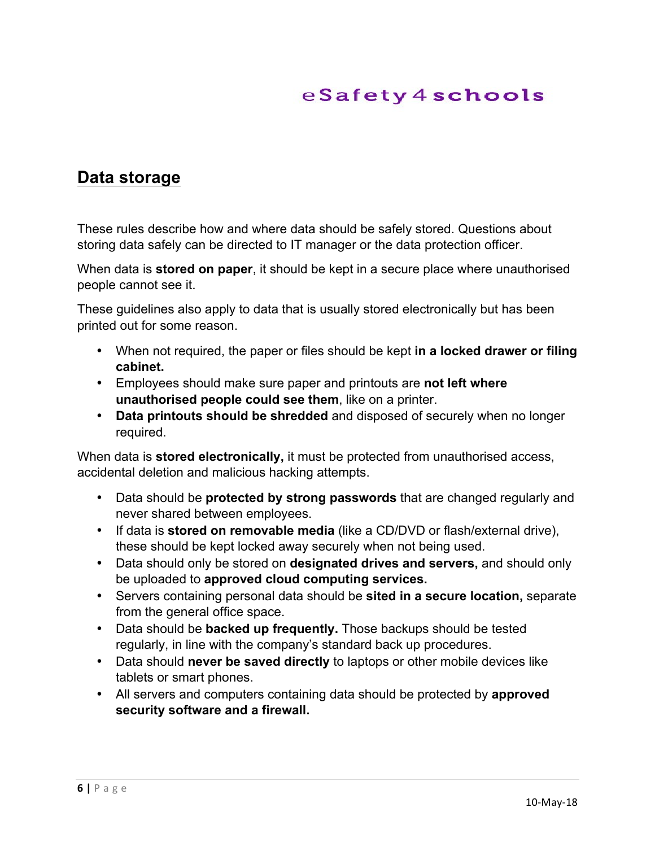### **Data storage**

These rules describe how and where data should be safely stored. Questions about storing data safely can be directed to IT manager or the data protection officer.

When data is **stored on paper**, it should be kept in a secure place where unauthorised people cannot see it.

These guidelines also apply to data that is usually stored electronically but has been printed out for some reason.

- When not required, the paper or files should be kept **in a locked drawer or filing cabinet.**
- Employees should make sure paper and printouts are **not left where unauthorised people could see them**, like on a printer.
- **Data printouts should be shredded** and disposed of securely when no longer required.

When data is **stored electronically,** it must be protected from unauthorised access, accidental deletion and malicious hacking attempts.

- Data should be **protected by strong passwords** that are changed regularly and never shared between employees.
- If data is **stored on removable media** (like a CD/DVD or flash/external drive), these should be kept locked away securely when not being used.
- Data should only be stored on **designated drives and servers,** and should only be uploaded to **approved cloud computing services.**
- Servers containing personal data should be **sited in a secure location,** separate from the general office space.
- Data should be **backed up frequently.** Those backups should be tested regularly, in line with the company's standard back up procedures.
- Data should **never be saved directly** to laptops or other mobile devices like tablets or smart phones.
- All servers and computers containing data should be protected by **approved security software and a firewall.**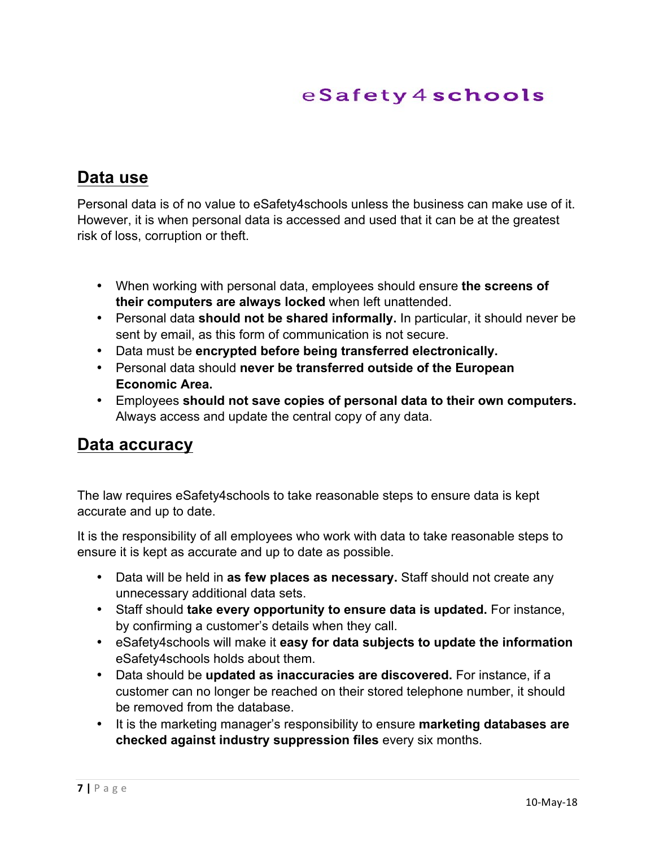### **Data use**

Personal data is of no value to eSafety4schools unless the business can make use of it. However, it is when personal data is accessed and used that it can be at the greatest risk of loss, corruption or theft.

- When working with personal data, employees should ensure **the screens of their computers are always locked** when left unattended.
- Personal data **should not be shared informally.** In particular, it should never be sent by email, as this form of communication is not secure.
- Data must be **encrypted before being transferred electronically.**
- Personal data should **never be transferred outside of the European Economic Area.**
- Employees **should not save copies of personal data to their own computers.** Always access and update the central copy of any data.

#### **Data accuracy**

The law requires eSafety4schools to take reasonable steps to ensure data is kept accurate and up to date.

It is the responsibility of all employees who work with data to take reasonable steps to ensure it is kept as accurate and up to date as possible.

- Data will be held in **as few places as necessary.** Staff should not create any unnecessary additional data sets.
- Staff should **take every opportunity to ensure data is updated.** For instance, by confirming a customer's details when they call.
- eSafety4schools will make it **easy for data subjects to update the information**  eSafety4schools holds about them.
- Data should be **updated as inaccuracies are discovered.** For instance, if a customer can no longer be reached on their stored telephone number, it should be removed from the database.
- It is the marketing manager's responsibility to ensure **marketing databases are checked against industry suppression files** every six months.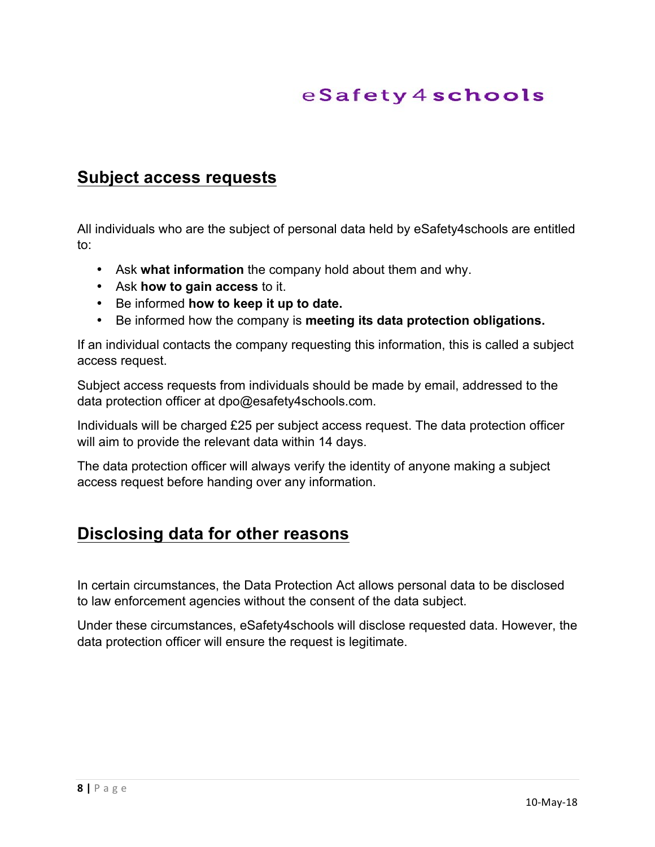#### **Subject access requests**

All individuals who are the subject of personal data held by eSafety4schools are entitled to:

- Ask **what information** the company hold about them and why.
- Ask **how to gain access** to it.
- Be informed **how to keep it up to date.**
- Be informed how the company is **meeting its data protection obligations.**

If an individual contacts the company requesting this information, this is called a subject access request.

Subject access requests from individuals should be made by email, addressed to the data protection officer at dpo@esafety4schools.com.

Individuals will be charged £25 per subject access request. The data protection officer will aim to provide the relevant data within 14 days.

The data protection officer will always verify the identity of anyone making a subject access request before handing over any information.

### **Disclosing data for other reasons**

In certain circumstances, the Data Protection Act allows personal data to be disclosed to law enforcement agencies without the consent of the data subject.

Under these circumstances, eSafety4schools will disclose requested data. However, the data protection officer will ensure the request is legitimate.